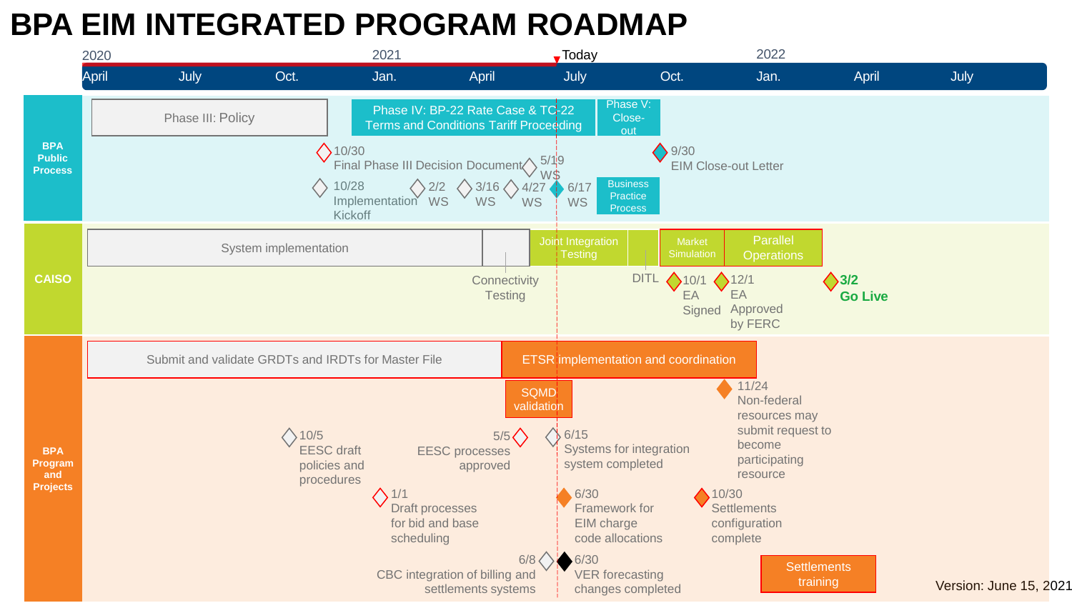## **BPA EIM INTEGRATED PROGRAM ROADMAP**